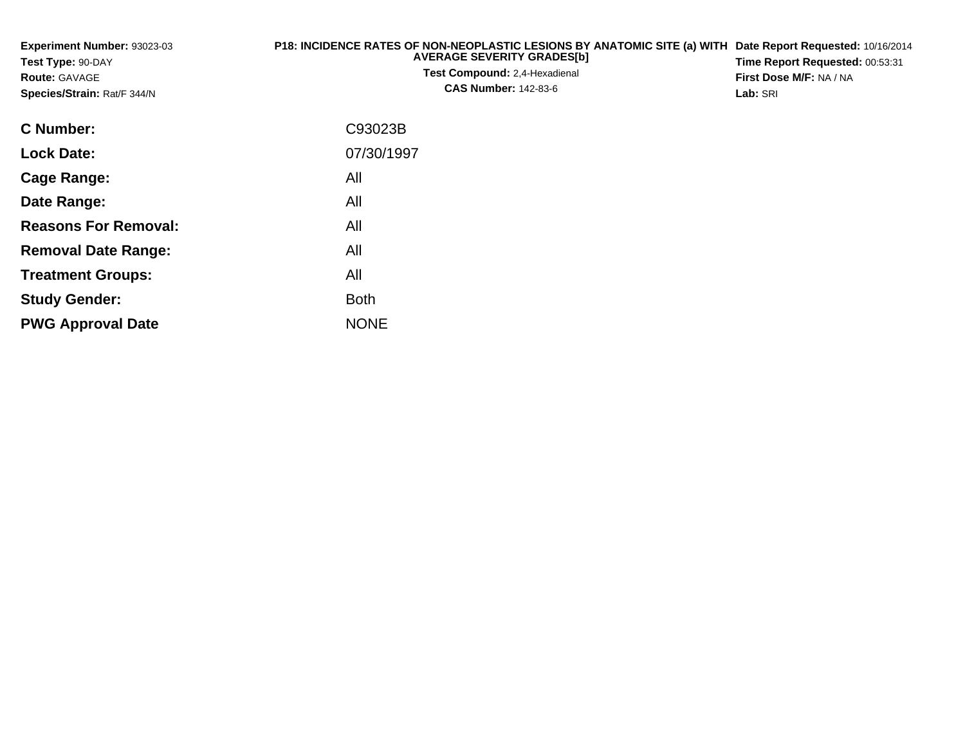| Experiment Number: 93023-03<br>Test Type: 90-DAY<br><b>Route: GAVAGE</b><br>Species/Strain: Rat/F 344/N | P18: INCIDENCE RATES OF NON-NEOPLASTIC LESIONS BY ANATOMIC SITE (a) WITH Date Report Requested: 10/16/2014<br><b>AVERAGE SEVERITY GRADES[b]</b><br><b>Test Compound: 2,4-Hexadienal</b><br><b>CAS Number: 142-83-6</b> | Time Report Requested: 00:53:31<br>First Dose M/F: NA / NA<br>Lab: SRI |
|---------------------------------------------------------------------------------------------------------|------------------------------------------------------------------------------------------------------------------------------------------------------------------------------------------------------------------------|------------------------------------------------------------------------|
| C Number:                                                                                               | C93023B                                                                                                                                                                                                                |                                                                        |
| <b>Lock Date:</b>                                                                                       | 07/30/1997                                                                                                                                                                                                             |                                                                        |
| Cage Range:                                                                                             | All                                                                                                                                                                                                                    |                                                                        |
| Date Range:                                                                                             | All                                                                                                                                                                                                                    |                                                                        |
| <b>Reasons For Removal:</b>                                                                             | All                                                                                                                                                                                                                    |                                                                        |
| <b>Removal Date Range:</b>                                                                              | All                                                                                                                                                                                                                    |                                                                        |
| <b>Treatment Groups:</b>                                                                                | All                                                                                                                                                                                                                    |                                                                        |
| <b>Study Gender:</b>                                                                                    | <b>Both</b>                                                                                                                                                                                                            |                                                                        |

e NONE

**PWG Approval Date**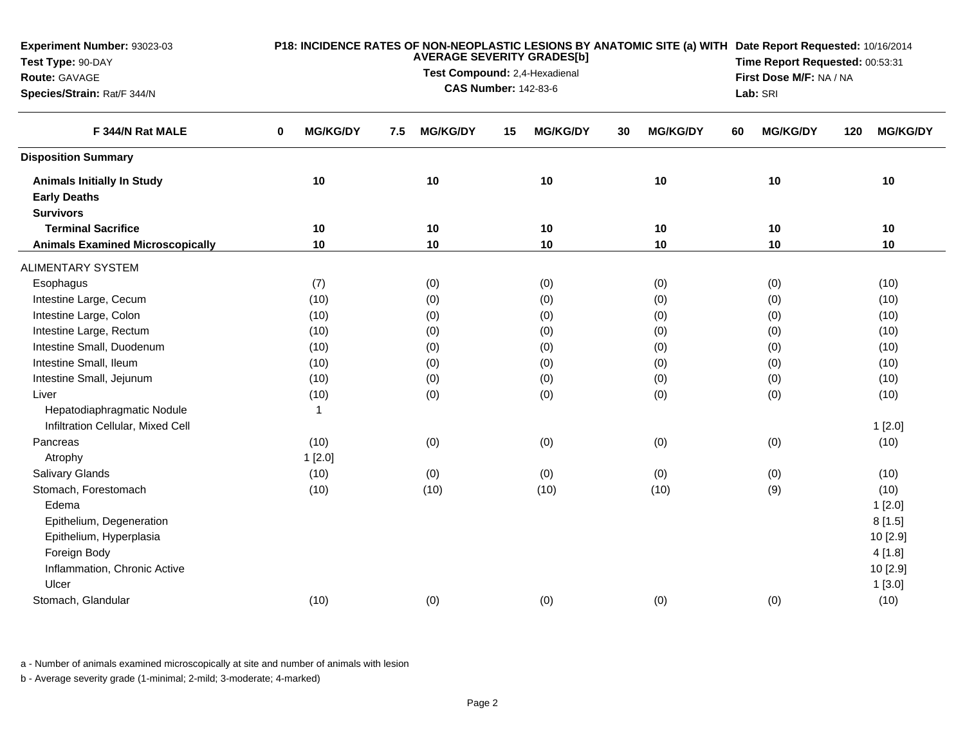| <b>Experiment Number: 93023-03</b><br>Test Type: 90-DAY<br>Route: GAVAGE<br>Species/Strain: Rat/F 344/N |                      | <b>AVERAGE SEVERITY GRADES[b]</b><br>Test Compound: 2,4-Hexadienal<br><b>CAS Number: 142-83-6</b> | Lab: SRI              | P18: INCIDENCE RATES OF NON-NEOPLASTIC LESIONS BY ANATOMIC SITE (a) WITH Date Report Requested: 10/16/2014<br>Time Report Requested: 00:53:31<br>First Dose M/F: NA / NA |                       |                        |  |
|---------------------------------------------------------------------------------------------------------|----------------------|---------------------------------------------------------------------------------------------------|-----------------------|--------------------------------------------------------------------------------------------------------------------------------------------------------------------------|-----------------------|------------------------|--|
| F 344/N Rat MALE                                                                                        | <b>MG/KG/DY</b><br>0 | <b>MG/KG/DY</b><br>7.5                                                                            | <b>MG/KG/DY</b><br>15 | <b>MG/KG/DY</b><br>30                                                                                                                                                    | <b>MG/KG/DY</b><br>60 | <b>MG/KG/DY</b><br>120 |  |
| <b>Disposition Summary</b>                                                                              |                      |                                                                                                   |                       |                                                                                                                                                                          |                       |                        |  |
| <b>Animals Initially In Study</b><br><b>Early Deaths</b><br><b>Survivors</b>                            | 10                   | 10                                                                                                | 10                    | 10                                                                                                                                                                       | 10                    | 10                     |  |
| <b>Terminal Sacrifice</b>                                                                               | 10                   | 10                                                                                                | 10                    | 10                                                                                                                                                                       | 10                    | 10                     |  |
| <b>Animals Examined Microscopically</b>                                                                 | 10                   | 10                                                                                                | 10                    | 10                                                                                                                                                                       | 10                    | 10                     |  |
| <b>ALIMENTARY SYSTEM</b>                                                                                |                      |                                                                                                   |                       |                                                                                                                                                                          |                       |                        |  |
| Esophagus                                                                                               | (7)                  | (0)                                                                                               | (0)                   | (0)                                                                                                                                                                      | (0)                   | (10)                   |  |
| Intestine Large, Cecum                                                                                  | (10)                 | (0)                                                                                               | (0)                   | (0)                                                                                                                                                                      | (0)                   | (10)                   |  |
| Intestine Large, Colon                                                                                  | (10)                 | (0)                                                                                               | (0)                   | (0)                                                                                                                                                                      | (0)                   | (10)                   |  |
| Intestine Large, Rectum                                                                                 | (10)                 | (0)                                                                                               | (0)                   | (0)                                                                                                                                                                      | (0)                   | (10)                   |  |
| Intestine Small, Duodenum                                                                               | (10)                 | (0)                                                                                               | (0)                   | (0)                                                                                                                                                                      | (0)                   | (10)                   |  |
| Intestine Small, Ileum                                                                                  | (10)                 | (0)                                                                                               | (0)                   | (0)                                                                                                                                                                      | (0)                   | (10)                   |  |
| Intestine Small, Jejunum                                                                                | (10)                 | (0)                                                                                               | (0)                   | (0)                                                                                                                                                                      | (0)                   | (10)                   |  |
| Liver                                                                                                   | (10)                 | (0)                                                                                               | (0)                   | (0)                                                                                                                                                                      | (0)                   | (10)                   |  |
| Hepatodiaphragmatic Nodule<br>Infiltration Cellular, Mixed Cell                                         | $\overline{1}$       |                                                                                                   |                       |                                                                                                                                                                          |                       | 1[2.0]                 |  |
| Pancreas                                                                                                | (10)                 | (0)                                                                                               | (0)                   | (0)                                                                                                                                                                      | (0)                   | (10)                   |  |
| Atrophy                                                                                                 | 1[2.0]               |                                                                                                   |                       |                                                                                                                                                                          |                       |                        |  |
| <b>Salivary Glands</b>                                                                                  | (10)                 | (0)                                                                                               | (0)                   | (0)                                                                                                                                                                      | (0)                   | (10)                   |  |
| Stomach, Forestomach                                                                                    | (10)                 | (10)                                                                                              | (10)                  | (10)                                                                                                                                                                     | (9)                   | (10)                   |  |
| Edema                                                                                                   |                      |                                                                                                   |                       |                                                                                                                                                                          |                       | 1[2.0]                 |  |
| Epithelium, Degeneration                                                                                |                      |                                                                                                   |                       |                                                                                                                                                                          |                       | 8[1.5]                 |  |
| Epithelium, Hyperplasia                                                                                 |                      |                                                                                                   |                       |                                                                                                                                                                          |                       | 10 [2.9]               |  |
| Foreign Body                                                                                            |                      |                                                                                                   |                       |                                                                                                                                                                          |                       | 4[1.8]                 |  |
| Inflammation, Chronic Active                                                                            |                      |                                                                                                   |                       |                                                                                                                                                                          |                       | 10 [2.9]               |  |
| Ulcer                                                                                                   |                      |                                                                                                   |                       |                                                                                                                                                                          |                       | 1[3.0]                 |  |
| Stomach, Glandular                                                                                      | (10)                 | (0)                                                                                               | (0)                   | (0)                                                                                                                                                                      | (0)                   | (10)                   |  |
|                                                                                                         |                      |                                                                                                   |                       |                                                                                                                                                                          |                       |                        |  |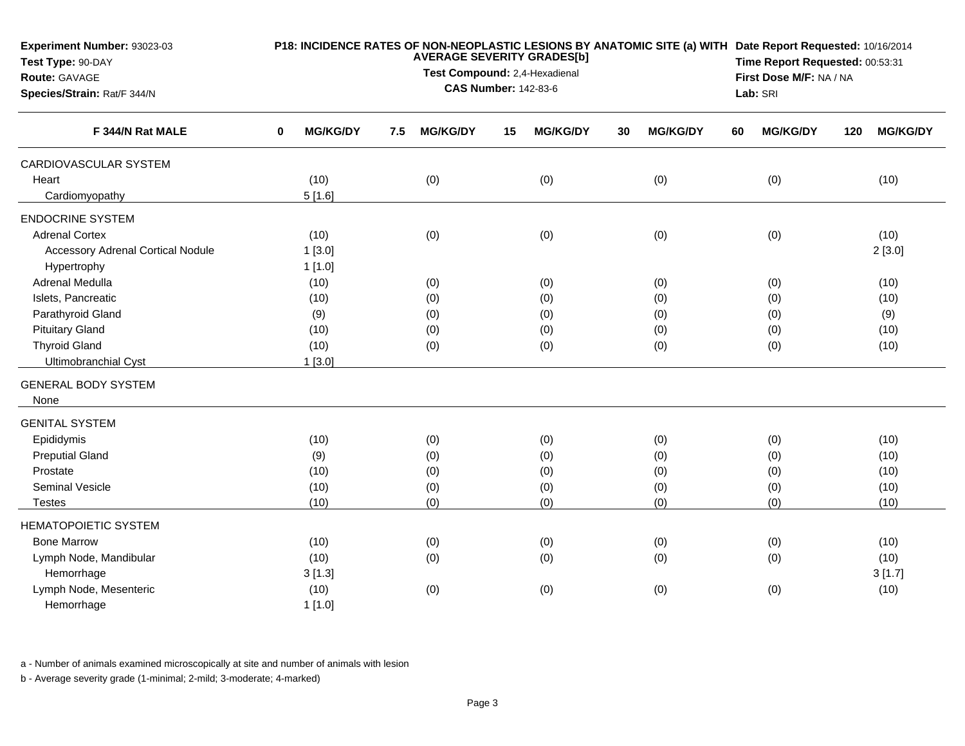| Experiment Number: 93023-03              | P18: INCIDENCE RATES OF NON-NEOPLASTIC LESIONS BY ANATOMIC SITE (a) WITH Date Report Requested: 10/16/2014<br><b>AVERAGE SEVERITY GRADES[b]</b> |                                                              |     |                 |                                                            |                 |    |                 |    |                 |     |                 |  |  |
|------------------------------------------|-------------------------------------------------------------------------------------------------------------------------------------------------|--------------------------------------------------------------|-----|-----------------|------------------------------------------------------------|-----------------|----|-----------------|----|-----------------|-----|-----------------|--|--|
| Test Type: 90-DAY                        |                                                                                                                                                 |                                                              |     |                 | Time Report Requested: 00:53:31<br>First Dose M/F: NA / NA |                 |    |                 |    |                 |     |                 |  |  |
| Route: GAVAGE                            |                                                                                                                                                 | Test Compound: 2,4-Hexadienal<br><b>CAS Number: 142-83-6</b> |     |                 |                                                            |                 |    |                 |    |                 |     |                 |  |  |
| Species/Strain: Rat/F 344/N              |                                                                                                                                                 |                                                              |     |                 |                                                            |                 |    |                 |    | Lab: SRI        |     |                 |  |  |
| F 344/N Rat MALE                         | 0                                                                                                                                               | <b>MG/KG/DY</b>                                              | 7.5 | <b>MG/KG/DY</b> | 15                                                         | <b>MG/KG/DY</b> | 30 | <b>MG/KG/DY</b> | 60 | <b>MG/KG/DY</b> | 120 | <b>MG/KG/DY</b> |  |  |
| CARDIOVASCULAR SYSTEM                    |                                                                                                                                                 |                                                              |     |                 |                                                            |                 |    |                 |    |                 |     |                 |  |  |
| Heart                                    |                                                                                                                                                 | (10)                                                         |     | (0)             |                                                            | (0)             |    | (0)             |    | (0)             |     | (10)            |  |  |
| Cardiomyopathy                           |                                                                                                                                                 | 5[1.6]                                                       |     |                 |                                                            |                 |    |                 |    |                 |     |                 |  |  |
| <b>ENDOCRINE SYSTEM</b>                  |                                                                                                                                                 |                                                              |     |                 |                                                            |                 |    |                 |    |                 |     |                 |  |  |
| <b>Adrenal Cortex</b>                    |                                                                                                                                                 | (10)                                                         |     | (0)             |                                                            | (0)             |    | (0)             |    | (0)             |     | (10)            |  |  |
| <b>Accessory Adrenal Cortical Nodule</b> |                                                                                                                                                 | 1[3.0]                                                       |     |                 |                                                            |                 |    |                 |    |                 |     | 2[3.0]          |  |  |
| Hypertrophy                              |                                                                                                                                                 | 1[1.0]                                                       |     |                 |                                                            |                 |    |                 |    |                 |     |                 |  |  |
| Adrenal Medulla                          |                                                                                                                                                 | (10)                                                         |     | (0)             |                                                            | (0)             |    | (0)             |    | (0)             |     | (10)            |  |  |
| Islets, Pancreatic                       |                                                                                                                                                 | (10)                                                         |     | (0)             |                                                            | (0)             |    | (0)             |    | (0)             |     | (10)            |  |  |
| Parathyroid Gland                        |                                                                                                                                                 | (9)                                                          |     | (0)             |                                                            | (0)             |    | (0)             |    | (0)             |     | (9)             |  |  |
| <b>Pituitary Gland</b>                   |                                                                                                                                                 | (10)                                                         |     | (0)             |                                                            | (0)             |    | (0)             |    | (0)             |     | (10)            |  |  |
| <b>Thyroid Gland</b>                     |                                                                                                                                                 | (10)                                                         |     | (0)             |                                                            | (0)             |    | (0)             |    | (0)             |     | (10)            |  |  |
| Ultimobranchial Cyst                     |                                                                                                                                                 | 1[3.0]                                                       |     |                 |                                                            |                 |    |                 |    |                 |     |                 |  |  |
| <b>GENERAL BODY SYSTEM</b>               |                                                                                                                                                 |                                                              |     |                 |                                                            |                 |    |                 |    |                 |     |                 |  |  |
| None                                     |                                                                                                                                                 |                                                              |     |                 |                                                            |                 |    |                 |    |                 |     |                 |  |  |
| <b>GENITAL SYSTEM</b>                    |                                                                                                                                                 |                                                              |     |                 |                                                            |                 |    |                 |    |                 |     |                 |  |  |
| Epididymis                               |                                                                                                                                                 | (10)                                                         |     | (0)             |                                                            | (0)             |    | (0)             |    | (0)             |     | (10)            |  |  |
| <b>Preputial Gland</b>                   |                                                                                                                                                 | (9)                                                          |     | (0)             |                                                            | (0)             |    | (0)             |    | (0)             |     | (10)            |  |  |
| Prostate                                 |                                                                                                                                                 | (10)                                                         |     | (0)             |                                                            | (0)             |    | (0)             |    | (0)             |     | (10)            |  |  |
| <b>Seminal Vesicle</b>                   |                                                                                                                                                 | (10)                                                         |     | (0)             |                                                            | (0)             |    | (0)             |    | (0)             |     | (10)            |  |  |
| <b>Testes</b>                            |                                                                                                                                                 | (10)                                                         |     | (0)             |                                                            | (0)             |    | (0)             |    | (0)             |     | (10)            |  |  |
| <b>HEMATOPOIETIC SYSTEM</b>              |                                                                                                                                                 |                                                              |     |                 |                                                            |                 |    |                 |    |                 |     |                 |  |  |
| <b>Bone Marrow</b>                       |                                                                                                                                                 | (10)                                                         |     | (0)             |                                                            | (0)             |    | (0)             |    | (0)             |     | (10)            |  |  |
| Lymph Node, Mandibular                   |                                                                                                                                                 | (10)                                                         |     | (0)             |                                                            | (0)             |    | (0)             |    | (0)             |     | (10)            |  |  |
| Hemorrhage                               |                                                                                                                                                 | 3[1.3]                                                       |     |                 |                                                            |                 |    |                 |    |                 |     | 3[1.7]          |  |  |
| Lymph Node, Mesenteric                   |                                                                                                                                                 | (10)                                                         |     | (0)             |                                                            | (0)             |    | (0)             |    | (0)             |     | (10)            |  |  |
| Hemorrhage                               |                                                                                                                                                 | 1[1.0]                                                       |     |                 |                                                            |                 |    |                 |    |                 |     |                 |  |  |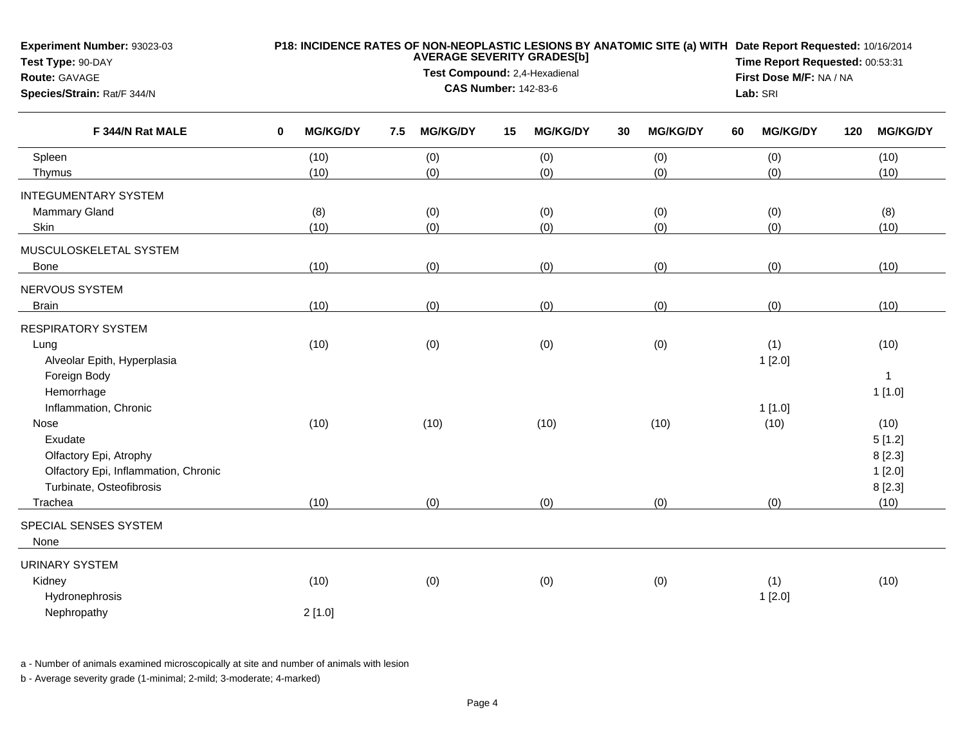| Experiment Number: 93023-03<br>Test Type: 90-DAY<br>Route: GAVAGE<br>Species/Strain: Rat/F 344/N |   | P18: INCIDENCE RATES OF NON-NEOPLASTIC LESIONS BY ANATOMIC SITE (a) WITH Date Report Requested: 10/16/2014<br><b>AVERAGE SEVERITY GRADES[b]</b><br>Test Compound: 2,4-Hexadienal<br><b>CAS Number: 142-83-6</b> |     |                 |    |                 |    |                 |    |                 | Time Report Requested: 00:53:31<br>First Dose M/F: NA / NA<br>Lab: SRI |                 |  |  |
|--------------------------------------------------------------------------------------------------|---|-----------------------------------------------------------------------------------------------------------------------------------------------------------------------------------------------------------------|-----|-----------------|----|-----------------|----|-----------------|----|-----------------|------------------------------------------------------------------------|-----------------|--|--|
| F 344/N Rat MALE                                                                                 | 0 | <b>MG/KG/DY</b>                                                                                                                                                                                                 | 7.5 | <b>MG/KG/DY</b> | 15 | <b>MG/KG/DY</b> | 30 | <b>MG/KG/DY</b> | 60 | <b>MG/KG/DY</b> | 120                                                                    | <b>MG/KG/DY</b> |  |  |
| Spleen                                                                                           |   | (10)                                                                                                                                                                                                            |     | (0)             |    | (0)             |    | (0)             |    | (0)             |                                                                        | (10)            |  |  |
| Thymus                                                                                           |   | (10)                                                                                                                                                                                                            |     | (0)             |    | (0)             |    | (0)             |    | (0)             |                                                                        | (10)            |  |  |
| <b>INTEGUMENTARY SYSTEM</b>                                                                      |   |                                                                                                                                                                                                                 |     |                 |    |                 |    |                 |    |                 |                                                                        |                 |  |  |
| Mammary Gland                                                                                    |   | (8)                                                                                                                                                                                                             |     | (0)             |    | (0)             |    | (0)             |    | (0)             |                                                                        | (8)             |  |  |
| Skin                                                                                             |   | (10)                                                                                                                                                                                                            |     | (0)             |    | (0)             |    | (0)             |    | (0)             |                                                                        | (10)            |  |  |
| MUSCULOSKELETAL SYSTEM                                                                           |   |                                                                                                                                                                                                                 |     |                 |    |                 |    |                 |    |                 |                                                                        |                 |  |  |
| Bone                                                                                             |   | (10)                                                                                                                                                                                                            |     | (0)             |    | (0)             |    | (0)             |    | (0)             |                                                                        | (10)            |  |  |
| NERVOUS SYSTEM                                                                                   |   |                                                                                                                                                                                                                 |     |                 |    |                 |    |                 |    |                 |                                                                        |                 |  |  |
| <b>Brain</b>                                                                                     |   | (10)                                                                                                                                                                                                            |     | (0)             |    | (0)             |    | (0)             |    | (0)             |                                                                        | (10)            |  |  |
| <b>RESPIRATORY SYSTEM</b>                                                                        |   |                                                                                                                                                                                                                 |     |                 |    |                 |    |                 |    |                 |                                                                        |                 |  |  |
| Lung                                                                                             |   | (10)                                                                                                                                                                                                            |     | (0)             |    | (0)             |    | (0)             |    | (1)             |                                                                        | (10)            |  |  |
| Alveolar Epith, Hyperplasia                                                                      |   |                                                                                                                                                                                                                 |     |                 |    |                 |    |                 |    | 1[2.0]          |                                                                        |                 |  |  |
| Foreign Body                                                                                     |   |                                                                                                                                                                                                                 |     |                 |    |                 |    |                 |    |                 |                                                                        | $\mathbf{1}$    |  |  |
| Hemorrhage                                                                                       |   |                                                                                                                                                                                                                 |     |                 |    |                 |    |                 |    |                 |                                                                        | 1[1.0]          |  |  |
| Inflammation, Chronic                                                                            |   |                                                                                                                                                                                                                 |     |                 |    |                 |    |                 |    | 1[1.0]          |                                                                        |                 |  |  |
| Nose                                                                                             |   | (10)                                                                                                                                                                                                            |     | (10)            |    | (10)            |    | (10)            |    | (10)            |                                                                        | (10)            |  |  |
| Exudate                                                                                          |   |                                                                                                                                                                                                                 |     |                 |    |                 |    |                 |    |                 |                                                                        | 5[1.2]          |  |  |
| Olfactory Epi, Atrophy                                                                           |   |                                                                                                                                                                                                                 |     |                 |    |                 |    |                 |    |                 |                                                                        | 8[2.3]          |  |  |
| Olfactory Epi, Inflammation, Chronic                                                             |   |                                                                                                                                                                                                                 |     |                 |    |                 |    |                 |    |                 |                                                                        | 1[2.0]          |  |  |
| Turbinate, Osteofibrosis                                                                         |   |                                                                                                                                                                                                                 |     |                 |    |                 |    |                 |    |                 |                                                                        | 8[2.3]          |  |  |
| Trachea                                                                                          |   | (10)                                                                                                                                                                                                            |     | (0)             |    | (0)             |    | (0)             |    | (0)             |                                                                        | (10)            |  |  |
| SPECIAL SENSES SYSTEM                                                                            |   |                                                                                                                                                                                                                 |     |                 |    |                 |    |                 |    |                 |                                                                        |                 |  |  |
| None                                                                                             |   |                                                                                                                                                                                                                 |     |                 |    |                 |    |                 |    |                 |                                                                        |                 |  |  |
| <b>URINARY SYSTEM</b>                                                                            |   |                                                                                                                                                                                                                 |     |                 |    |                 |    |                 |    |                 |                                                                        |                 |  |  |
| Kidney                                                                                           |   | (10)                                                                                                                                                                                                            |     | (0)             |    | (0)             |    | (0)             |    | (1)             |                                                                        | (10)            |  |  |
| Hydronephrosis                                                                                   |   |                                                                                                                                                                                                                 |     |                 |    |                 |    |                 |    | 1[2.0]          |                                                                        |                 |  |  |
| Nephropathy                                                                                      |   | 2[1.0]                                                                                                                                                                                                          |     |                 |    |                 |    |                 |    |                 |                                                                        |                 |  |  |
|                                                                                                  |   |                                                                                                                                                                                                                 |     |                 |    |                 |    |                 |    |                 |                                                                        |                 |  |  |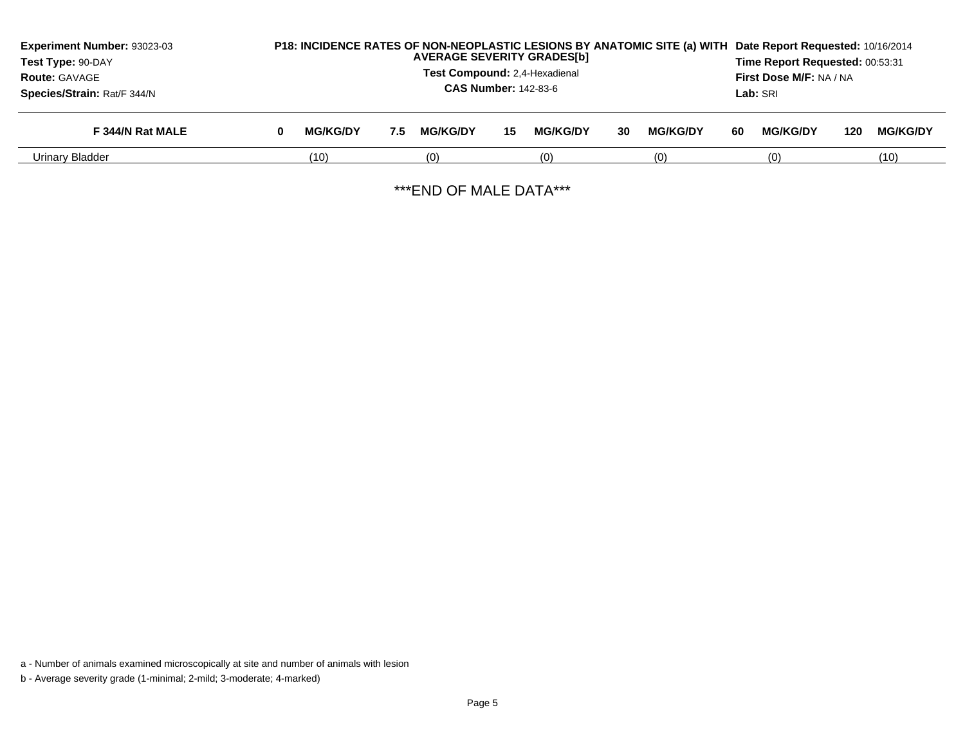| Experiment Number: 93023-03<br>Test Type: 90-DAY<br><b>Route: GAVAGE</b><br>Species/Strain: Rat/F 344/N |   | P18: INCIDENCE RATES OF NON-NEOPLASTIC LESIONS BY ANATOMIC SITE (a) WITH<br><b>AVERAGE SEVERITY GRADES[b]</b><br>Test Compound: 2.4-Hexadienal<br><b>CAS Number: 142-83-6</b> |     |                 |    |                 |    | Date Report Requested: 10/16/2014<br>Time Report Requested: 00:53:31<br>First Dose M/F: NA / NA<br><b>Lab:</b> SRI |    |                 |     |                 |
|---------------------------------------------------------------------------------------------------------|---|-------------------------------------------------------------------------------------------------------------------------------------------------------------------------------|-----|-----------------|----|-----------------|----|--------------------------------------------------------------------------------------------------------------------|----|-----------------|-----|-----------------|
| F 344/N Rat MALE                                                                                        | 0 | <b>MG/KG/DY</b>                                                                                                                                                               | 7.5 | <b>MG/KG/DY</b> | 15 | <b>MG/KG/DY</b> | 30 | <b>MG/KG/DY</b>                                                                                                    | 60 | <b>MG/KG/DY</b> | 120 | <b>MG/KG/DY</b> |
| Urinary Bladder                                                                                         |   | (10)                                                                                                                                                                          |     | (0)             |    | (0)             |    | (0)                                                                                                                |    | (0)             |     | (10)            |

\*\*\*END OF MALE DATA\*\*\*

a - Number of animals examined microscopically at site and number of animals with lesion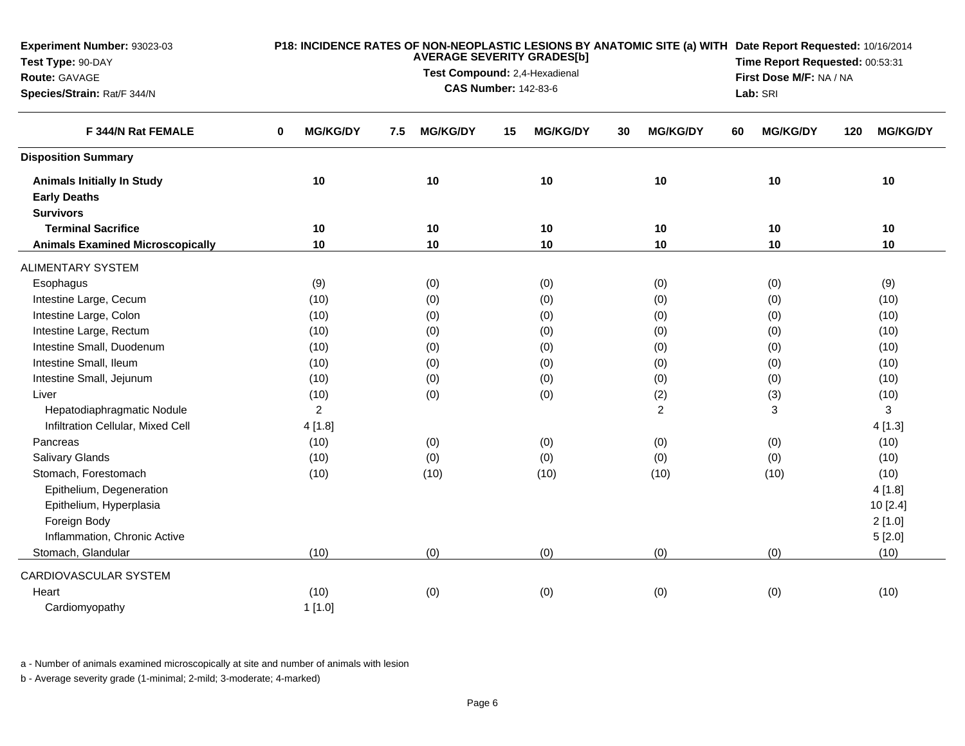| F 344/N Rat FEMALE<br><b>Disposition Summary</b>                             | <b>MG/KG/DY</b><br>$\bf{0}$<br>10<br>10 | <b>MG/KG/DY</b><br>7.5<br>10 | <b>MG/KG/DY</b><br>15<br>10 | <b>MG/KG/DY</b><br>30<br>10 | <b>MG/KG/DY</b><br>60<br>10 | <b>MG/KG/DY</b><br>120 |
|------------------------------------------------------------------------------|-----------------------------------------|------------------------------|-----------------------------|-----------------------------|-----------------------------|------------------------|
|                                                                              |                                         |                              |                             |                             |                             |                        |
|                                                                              |                                         |                              |                             |                             |                             |                        |
| <b>Animals Initially In Study</b><br><b>Early Deaths</b><br><b>Survivors</b> |                                         |                              |                             |                             |                             | 10                     |
| <b>Terminal Sacrifice</b>                                                    |                                         | 10                           | 10                          | 10                          | 10                          | 10                     |
| <b>Animals Examined Microscopically</b>                                      | 10                                      | 10                           | 10                          | 10                          | 10                          | 10                     |
| <b>ALIMENTARY SYSTEM</b>                                                     |                                         |                              |                             |                             |                             |                        |
| Esophagus                                                                    | (9)                                     | (0)                          | (0)                         | (0)                         | (0)                         | (9)                    |
| Intestine Large, Cecum                                                       | (10)                                    | (0)                          | (0)                         | (0)                         | (0)                         | (10)                   |
| Intestine Large, Colon                                                       | (10)                                    | (0)                          | (0)                         | (0)                         | (0)                         | (10)                   |
| Intestine Large, Rectum                                                      | (10)                                    | (0)                          | (0)                         | (0)                         | (0)                         | (10)                   |
| Intestine Small, Duodenum                                                    | (10)                                    | (0)                          | (0)                         | (0)                         | (0)                         | (10)                   |
| Intestine Small, Ileum                                                       | (10)                                    | (0)                          | (0)                         | (0)                         | (0)                         | (10)                   |
| Intestine Small, Jejunum                                                     | (10)                                    | (0)                          | (0)                         | (0)                         | (0)                         | (10)                   |
| Liver                                                                        | (10)                                    | (0)                          | (0)                         | (2)                         | (3)                         | (10)                   |
| Hepatodiaphragmatic Nodule                                                   | $\overline{c}$                          |                              |                             | $\overline{c}$              | 3                           | 3                      |
| Infiltration Cellular, Mixed Cell                                            | 4[1.8]                                  |                              |                             |                             |                             | 4 [1.3]                |
| Pancreas                                                                     | (10)                                    | (0)                          | (0)                         | (0)                         | (0)                         | (10)                   |
| Salivary Glands                                                              | (10)                                    | (0)                          | (0)                         | (0)                         | (0)                         | (10)                   |
| Stomach, Forestomach                                                         | (10)                                    | (10)                         | (10)                        | (10)                        | (10)                        | (10)                   |
| Epithelium, Degeneration                                                     |                                         |                              |                             |                             |                             | 4[1.8]                 |
| Epithelium, Hyperplasia                                                      |                                         |                              |                             |                             |                             | 10 [2.4]               |
| Foreign Body                                                                 |                                         |                              |                             |                             |                             | 2[1.0]                 |
| Inflammation, Chronic Active                                                 |                                         |                              |                             |                             |                             | 5[2.0]                 |
| Stomach, Glandular                                                           | (10)                                    | (0)                          | (0)                         | (0)                         | (0)                         | (10)                   |
| CARDIOVASCULAR SYSTEM                                                        |                                         |                              |                             |                             |                             |                        |
| Heart                                                                        | (10)                                    | (0)                          | (0)                         | (0)                         | (0)                         | (10)                   |
| Cardiomyopathy                                                               | 1[1.0]                                  |                              |                             |                             |                             |                        |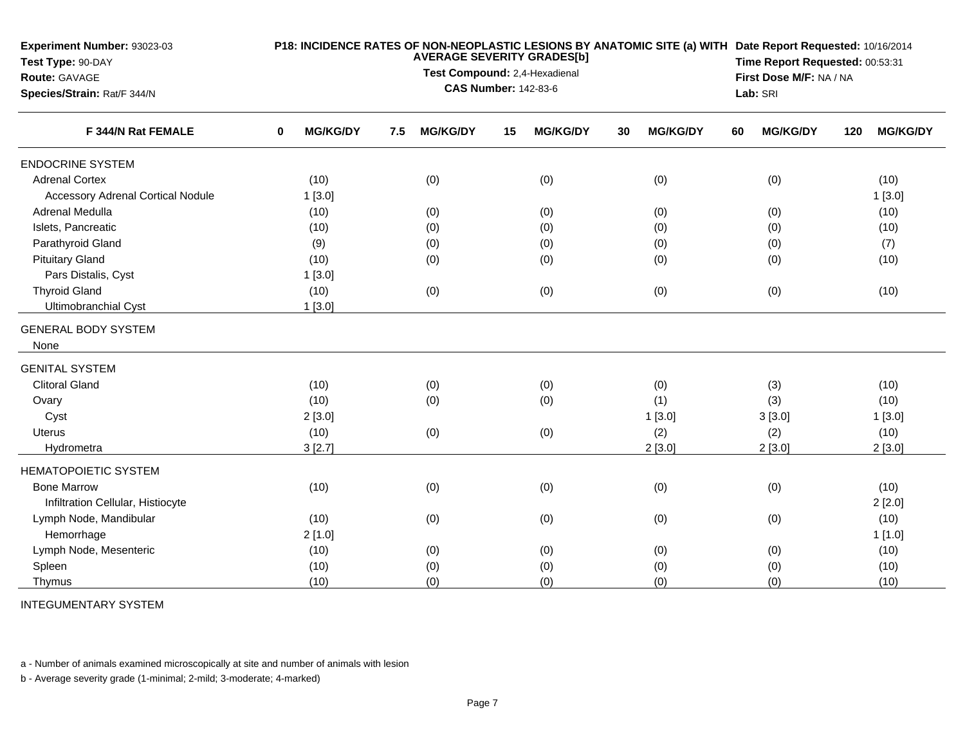| Experiment Number: 93023-03<br>Test Type: 90-DAY<br>Route: GAVAGE |                      | <b>AVERAGE SEVERITY GRADES[b]</b><br>Test Compound: 2,4-Hexadienal<br><b>CAS Number: 142-83-6</b> | P18: INCIDENCE RATES OF NON-NEOPLASTIC LESIONS BY ANATOMIC SITE (a) WITH Date Report Requested: 10/16/2014<br>Time Report Requested: 00:53:31<br>First Dose M/F: NA / NA |                       |                       |                        |
|-------------------------------------------------------------------|----------------------|---------------------------------------------------------------------------------------------------|--------------------------------------------------------------------------------------------------------------------------------------------------------------------------|-----------------------|-----------------------|------------------------|
| Species/Strain: Rat/F 344/N                                       |                      |                                                                                                   |                                                                                                                                                                          | Lab: SRI              |                       |                        |
| F 344/N Rat FEMALE                                                | <b>MG/KG/DY</b><br>0 | <b>MG/KG/DY</b><br>7.5                                                                            | <b>MG/KG/DY</b><br>15                                                                                                                                                    | <b>MG/KG/DY</b><br>30 | <b>MG/KG/DY</b><br>60 | <b>MG/KG/DY</b><br>120 |
| <b>ENDOCRINE SYSTEM</b>                                           |                      |                                                                                                   |                                                                                                                                                                          |                       |                       |                        |
| <b>Adrenal Cortex</b>                                             | (10)                 | (0)                                                                                               | (0)                                                                                                                                                                      | (0)                   | (0)                   | (10)                   |
| <b>Accessory Adrenal Cortical Nodule</b>                          | 1[3.0]               |                                                                                                   |                                                                                                                                                                          |                       |                       | 1[3.0]                 |
| Adrenal Medulla                                                   | (10)                 | (0)                                                                                               | (0)                                                                                                                                                                      | (0)                   | (0)                   | (10)                   |
| Islets, Pancreatic                                                | (10)                 | (0)                                                                                               | (0)                                                                                                                                                                      | (0)                   | (0)                   | (10)                   |
| Parathyroid Gland                                                 | (9)                  | (0)                                                                                               | (0)                                                                                                                                                                      | (0)                   | (0)                   | (7)                    |
| <b>Pituitary Gland</b>                                            | (10)                 | (0)                                                                                               | (0)                                                                                                                                                                      | (0)                   | (0)                   | (10)                   |
| Pars Distalis, Cyst                                               | 1[3.0]               |                                                                                                   |                                                                                                                                                                          |                       |                       |                        |
| <b>Thyroid Gland</b>                                              | (10)                 | (0)                                                                                               | (0)                                                                                                                                                                      | (0)                   | (0)                   | (10)                   |
| Ultimobranchial Cyst                                              | $1$ [3.0]            |                                                                                                   |                                                                                                                                                                          |                       |                       |                        |
| <b>GENERAL BODY SYSTEM</b>                                        |                      |                                                                                                   |                                                                                                                                                                          |                       |                       |                        |
| None                                                              |                      |                                                                                                   |                                                                                                                                                                          |                       |                       |                        |
| <b>GENITAL SYSTEM</b>                                             |                      |                                                                                                   |                                                                                                                                                                          |                       |                       |                        |
| <b>Clitoral Gland</b>                                             | (10)                 | (0)                                                                                               | (0)                                                                                                                                                                      | (0)                   | (3)                   | (10)                   |
| Ovary                                                             | (10)                 | (0)                                                                                               | (0)                                                                                                                                                                      | (1)                   | (3)                   | (10)                   |
| Cyst                                                              | 2[3.0]               |                                                                                                   |                                                                                                                                                                          | 1[3.0]                | 3[3.0]                | 1[3.0]                 |
| Uterus                                                            | (10)                 | (0)                                                                                               | (0)                                                                                                                                                                      | (2)                   | (2)                   | (10)                   |
| Hydrometra                                                        | 3[2.7]               |                                                                                                   |                                                                                                                                                                          | 2[3.0]                | 2[3.0]                | 2[3.0]                 |
| <b>HEMATOPOIETIC SYSTEM</b>                                       |                      |                                                                                                   |                                                                                                                                                                          |                       |                       |                        |
| <b>Bone Marrow</b>                                                | (10)                 | (0)                                                                                               | (0)                                                                                                                                                                      | (0)                   | (0)                   | (10)                   |
| Infiltration Cellular, Histiocyte                                 |                      |                                                                                                   |                                                                                                                                                                          |                       |                       | 2[2.0]                 |
| Lymph Node, Mandibular                                            | (10)                 | (0)                                                                                               | (0)                                                                                                                                                                      | (0)                   | (0)                   | (10)                   |
| Hemorrhage                                                        | 2[1.0]               |                                                                                                   |                                                                                                                                                                          |                       |                       | 1[1.0]                 |
| Lymph Node, Mesenteric                                            | (10)                 | (0)                                                                                               | (0)                                                                                                                                                                      | (0)                   | (0)                   | (10)                   |
| Spleen                                                            | (10)                 | (0)                                                                                               | (0)                                                                                                                                                                      | (0)                   | (0)                   | (10)                   |
| Thymus                                                            | (10)                 | (0)                                                                                               | (0)                                                                                                                                                                      | (0)                   | (0)                   | (10)                   |

INTEGUMENTARY SYSTEM

a - Number of animals examined microscopically at site and number of animals with lesion